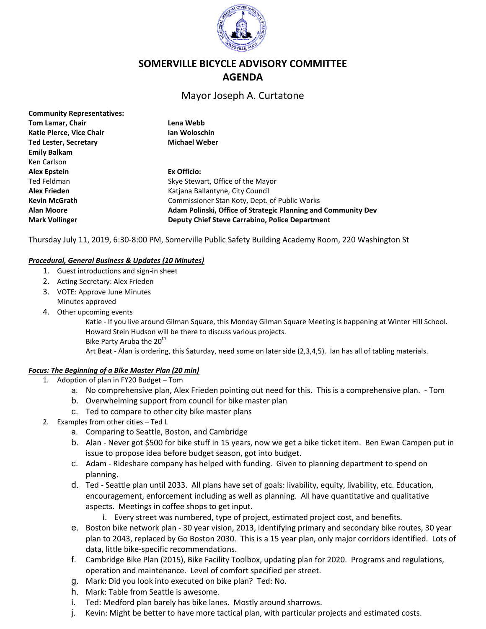

# **SOMERVILLE BICYCLE ADVISORY COMMITTEE AGENDA**

## Mayor Joseph A. Curtatone

| Lena Webb                                                     |
|---------------------------------------------------------------|
| Ian Woloschin                                                 |
| <b>Michael Weber</b>                                          |
|                                                               |
|                                                               |
| Ex Officio:                                                   |
| Skye Stewart, Office of the Mayor                             |
| Katiana Ballantyne, City Council                              |
| Commissioner Stan Koty, Dept. of Public Works                 |
| Adam Polinski, Office of Strategic Planning and Community Dev |
| <b>Deputy Chief Steve Carrabino, Police Department</b>        |
|                                                               |

Thursday July 11, 2019, 6:30-8:00 PM, Somerville Public Safety Building Academy Room, 220 Washington St

#### *Procedural, General Business & Updates (10 Minutes)*

- 1. Guest introductions and sign-in sheet
- 2. Acting Secretary: Alex Frieden
- 3. VOTE: Approve June Minutes Minutes approved
- 4. Other upcoming events

Katie - If you live around Gilman Square, this Monday Gilman Square Meeting is happening at Winter Hill School. Howard Stein Hudson will be there to discuss various projects. Bike Party Aruba the 20<sup>th</sup>

Art Beat - Alan is ordering, this Saturday, need some on later side (2,3,4,5). Ian has all of tabling materials.

#### *Focus: The Beginning of a Bike Master Plan (20 min)*

- 1. Adoption of plan in FY20 Budget Tom
	- a. No comprehensive plan, Alex Frieden pointing out need for this. This is a comprehensive plan. Tom
	- b. Overwhelming support from council for bike master plan
	- c. Ted to compare to other city bike master plans
- 2. Examples from other cities Ted L
	- a. Comparing to Seattle, Boston, and Cambridge
	- b. Alan Never got \$500 for bike stuff in 15 years, now we get a bike ticket item. Ben Ewan Campen put in issue to propose idea before budget season, got into budget.
	- c. Adam Rideshare company has helped with funding. Given to planning department to spend on planning.
	- d. Ted Seattle plan until 2033. All plans have set of goals: livability, equity, livability, etc. Education, encouragement, enforcement including as well as planning. All have quantitative and qualitative aspects. Meetings in coffee shops to get input.
		- i. Every street was numbered, type of project, estimated project cost, and benefits.
	- e. Boston bike network plan 30 year vision, 2013, identifying primary and secondary bike routes, 30 year plan to 2043, replaced by Go Boston 2030. This is a 15 year plan, only major corridors identified. Lots of data, little bike-specific recommendations.
	- f. Cambridge Bike Plan (2015), Bike Facility Toolbox, updating plan for 2020. Programs and regulations, operation and maintenance. Level of comfort specified per street.
	- g. Mark: Did you look into executed on bike plan? Ted: No.
	- h. Mark: Table from Seattle is awesome.
	- i. Ted: Medford plan barely has bike lanes. Mostly around sharrows.
	- j. Kevin: Might be better to have more tactical plan, with particular projects and estimated costs.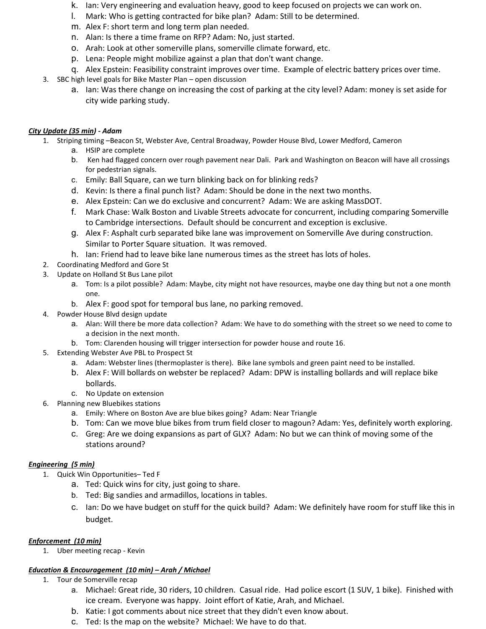- k. Ian: Very engineering and evaluation heavy, good to keep focused on projects we can work on.
- l. Mark: Who is getting contracted for bike plan? Adam: Still to be determined.
- m. Alex F: short term and long term plan needed.
- n. Alan: Is there a time frame on RFP? Adam: No, just started.
- o. Arah: Look at other somerville plans, somerville climate forward, etc.
- p. Lena: People might mobilize against a plan that don't want change.
- q. Alex Epstein: Feasibility constraint improves over time. Example of electric battery prices over time.
- 3. SBC high level goals for Bike Master Plan open discussion
	- a. Ian: Was there change on increasing the cost of parking at the city level? Adam: money is set aside for city wide parking study.

#### *City Update (35 min) - Adam*

- 1. Striping timing –Beacon St, Webster Ave, Central Broadway, Powder House Blvd, Lower Medford, Cameron
	- a. HSIP are complete
	- b. Ken had flagged concern over rough pavement near Dali. Park and Washington on Beacon will have all crossings for pedestrian signals.
	- c. Emily: Ball Square, can we turn blinking back on for blinking reds?
	- d. Kevin: Is there a final punch list? Adam: Should be done in the next two months.
	- e. Alex Epstein: Can we do exclusive and concurrent? Adam: We are asking MassDOT.
	- f. Mark Chase: Walk Boston and Livable Streets advocate for concurrent, including comparing Somerville to Cambridge intersections. Default should be concurrent and exception is exclusive.
	- g. Alex F: Asphalt curb separated bike lane was improvement on Somerville Ave during construction. Similar to Porter Square situation. It was removed.
	- h. Ian: Friend had to leave bike lane numerous times as the street has lots of holes.
- 2. Coordinating Medford and Gore St
- 3. Update on Holland St Bus Lane pilot
	- a. Tom: Is a pilot possible? Adam: Maybe, city might not have resources, maybe one day thing but not a one month one.
	- b. Alex F: good spot for temporal bus lane, no parking removed.
- 4. Powder House Blvd design update
	- a. Alan: Will there be more data collection? Adam: We have to do something with the street so we need to come to a decision in the next month.
	- b. Tom: Clarenden housing will trigger intersection for powder house and route 16.
- 5. Extending Webster Ave PBL to Prospect St
	- a. Adam: Webster lines (thermoplaster is there). Bike lane symbols and green paint need to be installed.
	- b. Alex F: Will bollards on webster be replaced? Adam: DPW is installing bollards and will replace bike bollards.
	- c. No Update on extension
- 6. Planning new Bluebikes stations
	- a. Emily: Where on Boston Ave are blue bikes going? Adam: Near Triangle
	- b. Tom: Can we move blue bikes from trum field closer to magoun? Adam: Yes, definitely worth exploring.
	- c. Greg: Are we doing expansions as part of GLX? Adam: No but we can think of moving some of the stations around?

## *Engineering (5 min)*

- 1. Quick Win Opportunities– Ted F
	- a. Ted: Quick wins for city, just going to share.
	- b. Ted: Big sandies and armadillos, locations in tables.
	- c. Ian: Do we have budget on stuff for the quick build? Adam: We definitely have room for stuff like this in budget.

## *Enforcement (10 min)*

1. Uber meeting recap - Kevin

## *Education & Encouragement (10 min) – Arah / Michael*

- 1. Tour de Somerville recap
	- a. Michael: Great ride, 30 riders, 10 children. Casual ride. Had police escort (1 SUV, 1 bike). Finished with ice cream. Everyone was happy. Joint effort of Katie, Arah, and Michael.
	- b. Katie: I got comments about nice street that they didn't even know about.
	- c. Ted: Is the map on the website? Michael: We have to do that.